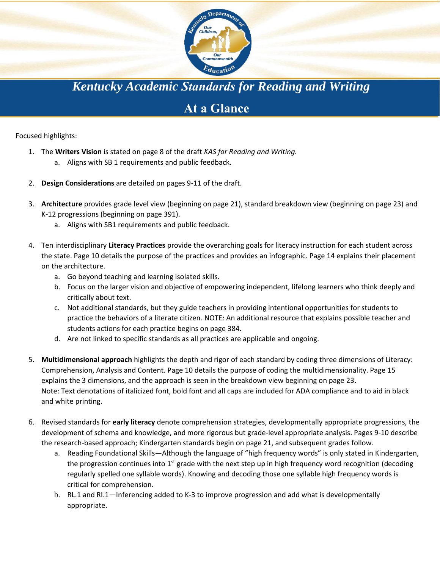

*Kentucky Academic Standards for Reading and Writing*

## **At a Glance**

Focused highlights:

- 1. The **Writers Vision** is stated on page 8 of the draft *KAS for Reading and Writing.*
	- a. Aligns with SB 1 requirements and public feedback.
- 2. **Design Considerations** are detailed on pages 9-11 of the draft.
- 3. **Architecture** provides grade level view (beginning on page 21), standard breakdown view (beginning on page 23) and K-12 progressions (beginning on page 391).
	- a. Aligns with SB1 requirements and public feedback.
- 4. Ten interdisciplinary **Literacy Practices** provide the overarching goals for literacy instruction for each student across the state. Page 10 details the purpose of the practices and provides an infographic. Page 14 explains their placement on the architecture.
	- a. Go beyond teaching and learning isolated skills.
	- b. Focus on the larger vision and objective of empowering independent, lifelong learners who think deeply and critically about text.
	- c. Not additional standards, but they guide teachers in providing intentional opportunities for students to practice the behaviors of a literate citizen. NOTE: An additional resource that explains possible teacher and students actions for each practice begins on page 384.
	- d. Are not linked to specific standards as all practices are applicable and ongoing.
- 5. **Multidimensional approach** highlights the depth and rigor of each standard by coding three dimensions of Literacy: Comprehension, Analysis and Content. Page 10 details the purpose of coding the multidimensionality. Page 15 explains the 3 dimensions, and the approach is seen in the breakdown view beginning on page 23. Note: Text denotations of italicized font, bold font and all caps are included for ADA compliance and to aid in black and white printing.
- 6. Revised standards for **early literacy** denote comprehension strategies, developmentally appropriate progressions, the development of schema and knowledge, and more rigorous but grade-level appropriate analysis. Pages 9-10 describe the research-based approach; Kindergarten standards begin on page 21, and subsequent grades follow.
	- a. Reading Foundational Skills—Although the language of "high frequency words" is only stated in Kindergarten, the progression continues into  $1<sup>st</sup>$  grade with the next step up in high frequency word recognition (decoding regularly spelled one syllable words). Knowing and decoding those one syllable high frequency words is critical for comprehension.
	- b. RL.1 and RI.1—Inferencing added to K-3 to improve progression and add what is developmentally appropriate.